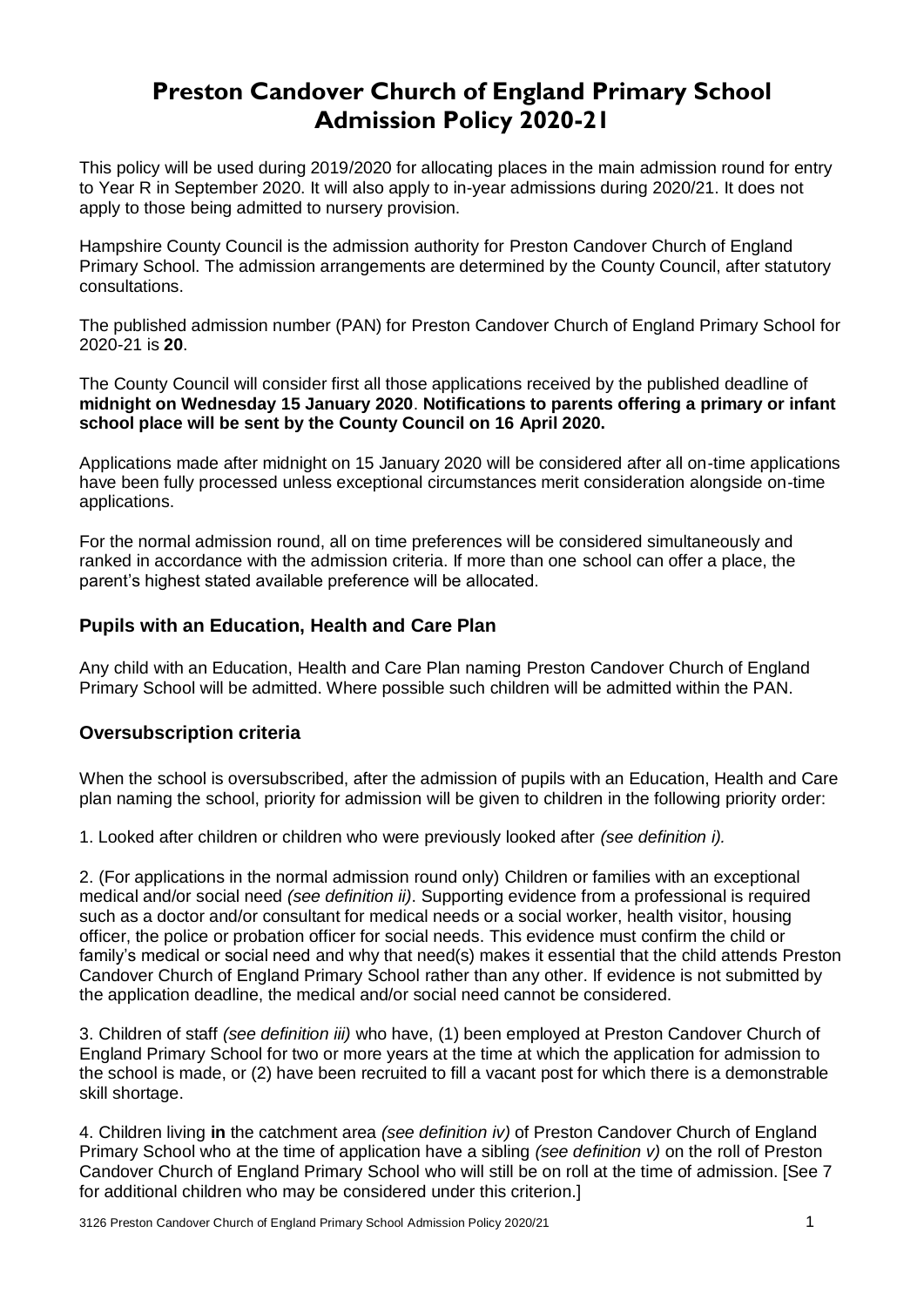# **Preston Candover Church of England Primary School Admission Policy 2020-21**

This policy will be used during 2019/2020 for allocating places in the main admission round for entry to Year R in September 2020. It will also apply to in-year admissions during 2020/21. It does not apply to those being admitted to nursery provision.

Hampshire County Council is the admission authority for Preston Candover Church of England Primary School. The admission arrangements are determined by the County Council, after statutory consultations.

The published admission number (PAN) for Preston Candover Church of England Primary School for 2020-21 is **20**.

The County Council will consider first all those applications received by the published deadline of **midnight on Wednesday 15 January 2020**. **Notifications to parents offering a primary or infant school place will be sent by the County Council on 16 April 2020.**

Applications made after midnight on 15 January 2020 will be considered after all on-time applications have been fully processed unless exceptional circumstances merit consideration alongside on-time applications.

For the normal admission round, all on time preferences will be considered simultaneously and ranked in accordance with the admission criteria. If more than one school can offer a place, the parent's highest stated available preference will be allocated.

# **Pupils with an Education, Health and Care Plan**

Any child with an Education, Health and Care Plan naming Preston Candover Church of England Primary School will be admitted. Where possible such children will be admitted within the PAN.

# **Oversubscription criteria**

When the school is oversubscribed, after the admission of pupils with an Education, Health and Care plan naming the school, priority for admission will be given to children in the following priority order:

1. Looked after children or children who were previously looked after *(see definition i).* 

2. (For applications in the normal admission round only) Children or families with an exceptional medical and/or social need *(see definition ii)*. Supporting evidence from a professional is required such as a doctor and/or consultant for medical needs or a social worker, health visitor, housing officer, the police or probation officer for social needs. This evidence must confirm the child or family's medical or social need and why that need(s) makes it essential that the child attends Preston Candover Church of England Primary School rather than any other. If evidence is not submitted by the application deadline, the medical and/or social need cannot be considered.

3. Children of staff *(see definition iii)* who have, (1) been employed at Preston Candover Church of England Primary School for two or more years at the time at which the application for admission to the school is made, or (2) have been recruited to fill a vacant post for which there is a demonstrable skill shortage.

4. Children living **in** the catchment area *(see definition iv)* of Preston Candover Church of England Primary School who at the time of application have a sibling *(see definition v)* on the roll of Preston Candover Church of England Primary School who will still be on roll at the time of admission. [See 7 for additional children who may be considered under this criterion.]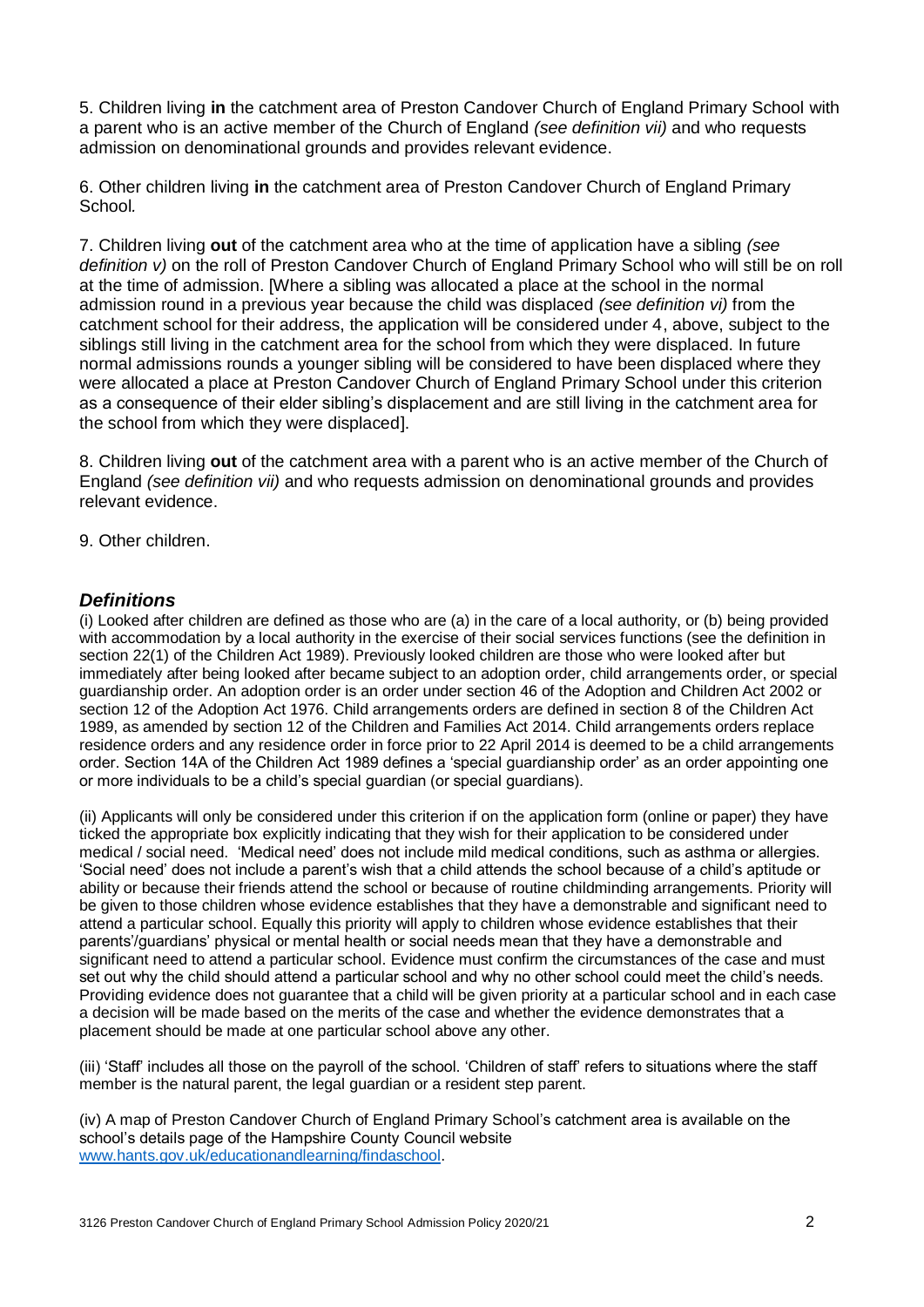5. Children living **in** the catchment area of Preston Candover Church of England Primary School with a parent who is an active member of the Church of England *(see definition vii)* and who requests admission on denominational grounds and provides relevant evidence.

6. Other children living **in** the catchment area of Preston Candover Church of England Primary School*.*

7. Children living **out** of the catchment area who at the time of application have a sibling *(see definition v)* on the roll of Preston Candover Church of England Primary School who will still be on roll at the time of admission. [Where a sibling was allocated a place at the school in the normal admission round in a previous year because the child was displaced *(see definition vi)* from the catchment school for their address, the application will be considered under 4, above, subject to the siblings still living in the catchment area for the school from which they were displaced. In future normal admissions rounds a younger sibling will be considered to have been displaced where they were allocated a place at Preston Candover Church of England Primary School under this criterion as a consequence of their elder sibling's displacement and are still living in the catchment area for the school from which they were displaced].

8. Children living **out** of the catchment area with a parent who is an active member of the Church of England *(see definition vii)* and who requests admission on denominational grounds and provides relevant evidence.

9. Other children.

#### *Definitions*

(i) Looked after children are defined as those who are (a) in the care of a local authority, or (b) being provided with accommodation by a local authority in the exercise of their social services functions (see the definition in section 22(1) of the Children Act 1989). Previously looked children are those who were looked after but immediately after being looked after became subject to an adoption order, child arrangements order, or special guardianship order. An adoption order is an order under section 46 of the Adoption and Children Act 2002 or section 12 of the Adoption Act 1976. Child arrangements orders are defined in section 8 of the Children Act 1989, as amended by section 12 of the Children and Families Act 2014. Child arrangements orders replace residence orders and any residence order in force prior to 22 April 2014 is deemed to be a child arrangements order. Section 14A of the Children Act 1989 defines a 'special guardianship order' as an order appointing one or more individuals to be a child's special guardian (or special guardians).

(ii) Applicants will only be considered under this criterion if on the application form (online or paper) they have ticked the appropriate box explicitly indicating that they wish for their application to be considered under medical / social need. 'Medical need' does not include mild medical conditions, such as asthma or allergies. 'Social need' does not include a parent's wish that a child attends the school because of a child's aptitude or ability or because their friends attend the school or because of routine childminding arrangements. Priority will be given to those children whose evidence establishes that they have a demonstrable and significant need to attend a particular school. Equally this priority will apply to children whose evidence establishes that their parents'/guardians' physical or mental health or social needs mean that they have a demonstrable and significant need to attend a particular school. Evidence must confirm the circumstances of the case and must set out why the child should attend a particular school and why no other school could meet the child's needs. Providing evidence does not guarantee that a child will be given priority at a particular school and in each case a decision will be made based on the merits of the case and whether the evidence demonstrates that a placement should be made at one particular school above any other.

(iii) 'Staff' includes all those on the payroll of the school. 'Children of staff' refers to situations where the staff member is the natural parent, the legal guardian or a resident step parent.

(iv) A map of Preston Candover Church of England Primary School's catchment area is available on the school's details page of the Hampshire County Council website [www.hants.gov.uk/educationandlearning/findaschool.](http://www.hants.gov.uk/educationandlearning/findaschool)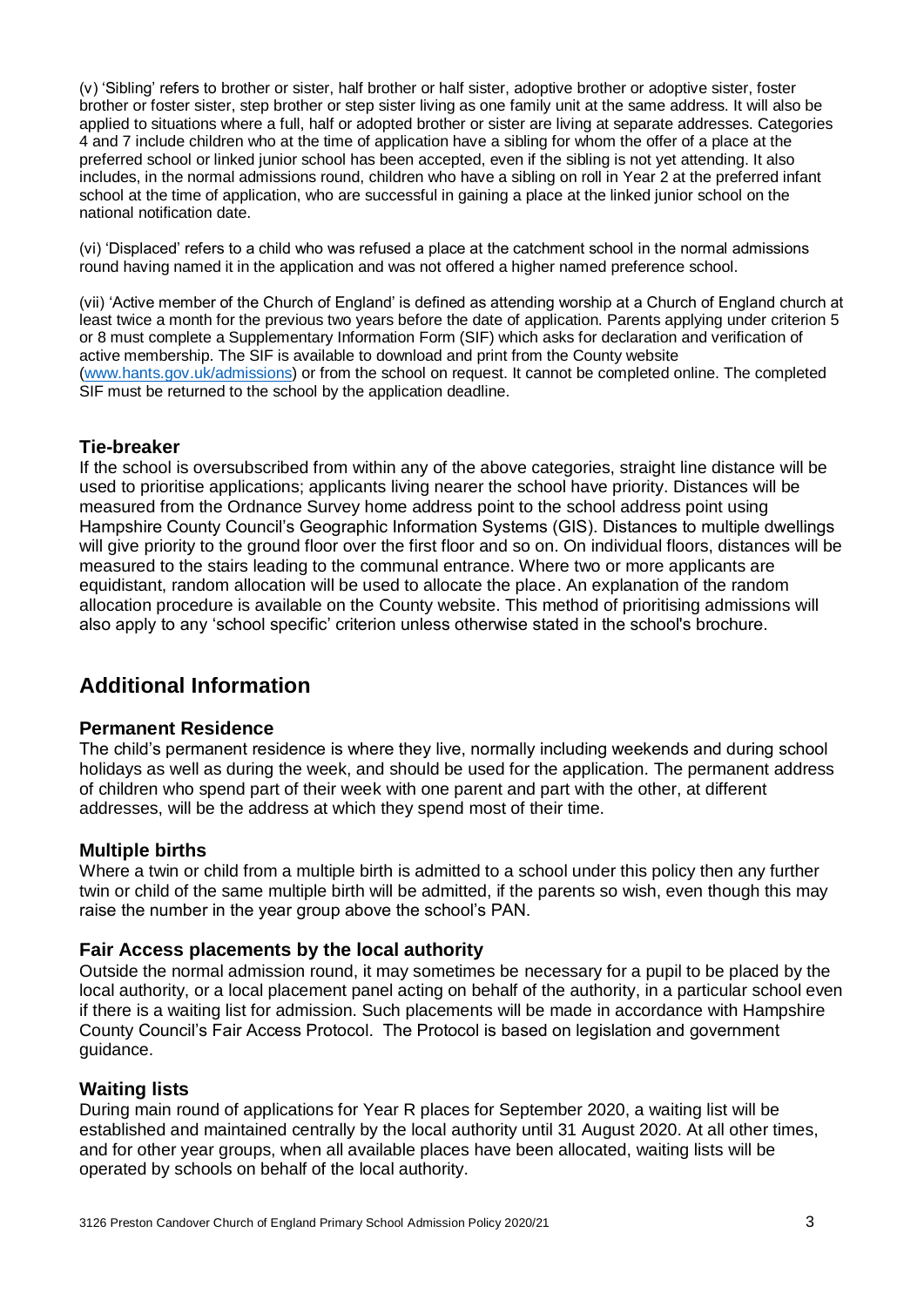(v) 'Sibling' refers to brother or sister, half brother or half sister, adoptive brother or adoptive sister, foster brother or foster sister, step brother or step sister living as one family unit at the same address. It will also be applied to situations where a full, half or adopted brother or sister are living at separate addresses. Categories 4 and 7 include children who at the time of application have a sibling for whom the offer of a place at the preferred school or linked junior school has been accepted, even if the sibling is not yet attending. It also includes, in the normal admissions round, children who have a sibling on roll in Year 2 at the preferred infant school at the time of application, who are successful in gaining a place at the linked junior school on the national notification date.

(vi) 'Displaced' refers to a child who was refused a place at the catchment school in the normal admissions round having named it in the application and was not offered a higher named preference school.

(vii) 'Active member of the Church of England' is defined as attending worship at a Church of England church at least twice a month for the previous two years before the date of application. Parents applying under criterion 5 or 8 must complete a Supplementary Information Form (SIF) which asks for declaration and verification of active membership. The SIF is available to download and print from the County website [\(www.hants.gov.uk/admissions\)](http://www.hants.gov.uk/admissions) or from the school on request. It cannot be completed online. The completed SIF must be returned to the school by the application deadline.

## **Tie-breaker**

If the school is oversubscribed from within any of the above categories, straight line distance will be used to prioritise applications; applicants living nearer the school have priority. Distances will be measured from the Ordnance Survey home address point to the school address point using Hampshire County Council's Geographic Information Systems (GIS). Distances to multiple dwellings will give priority to the ground floor over the first floor and so on. On individual floors, distances will be measured to the stairs leading to the communal entrance. Where two or more applicants are equidistant, random allocation will be used to allocate the place. An explanation of the random allocation procedure is available on the County website. This method of prioritising admissions will also apply to any 'school specific' criterion unless otherwise stated in the school's brochure.

# **Additional Information**

#### **Permanent Residence**

The child's permanent residence is where they live, normally including weekends and during school holidays as well as during the week, and should be used for the application. The permanent address of children who spend part of their week with one parent and part with the other, at different addresses, will be the address at which they spend most of their time.

#### **Multiple births**

Where a twin or child from a multiple birth is admitted to a school under this policy then any further twin or child of the same multiple birth will be admitted, if the parents so wish, even though this may raise the number in the year group above the school's PAN.

#### **Fair Access placements by the local authority**

Outside the normal admission round, it may sometimes be necessary for a pupil to be placed by the local authority, or a local placement panel acting on behalf of the authority, in a particular school even if there is a waiting list for admission. Such placements will be made in accordance with Hampshire County Council's Fair Access Protocol. The Protocol is based on legislation and government guidance.

#### **Waiting lists**

During main round of applications for Year R places for September 2020, a waiting list will be established and maintained centrally by the local authority until 31 August 2020. At all other times, and for other year groups, when all available places have been allocated, waiting lists will be operated by schools on behalf of the local authority.